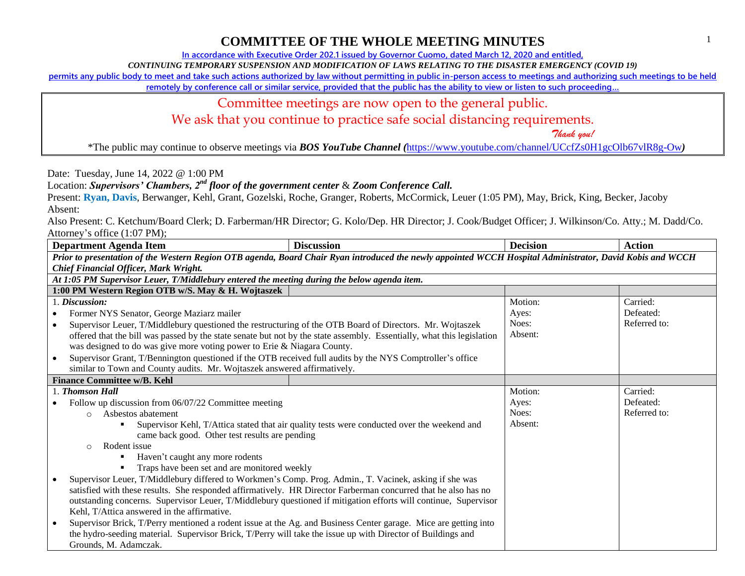## **COMMITTEE OF THE WHOLE MEETING MINUTES**

**In accordance with Executive Order 202.1 issued by Governor Cuomo, dated March 12, 2020 and entitled,**

*CONTINUING TEMPORARY SUSPENSION AND MODIFICATION OF LAWS RELATING TO THE DISASTER EMERGENCY (COVID 19)*

**permits any public body to meet and take such actions authorized by law without permitting in public in-person access to meetings and authorizing such meetings to be held** 

**remotely by conference call or similar service, provided that the public has the ability to view or listen to such proceeding…**

Committee meetings are now open to the general public.

We ask that you continue to practice safe social distancing requirements.

 *Thank you!*

\*The public may continue to observe meetings via *BOS YouTube Channel (*<https://www.youtube.com/channel/UCcfZs0H1gcOlb67vlR8g-Ow>*)*

Date: Tuesday, June 14, 2022 @ 1:00 PM

Location: *Supervisors' Chambers, 2nd floor of the government center* & *Zoom Conference Call.*

Present: **Ryan, Davis**, Berwanger, Kehl, Grant, Gozelski, Roche, Granger, Roberts, McCormick, Leuer (1:05 PM), May, Brick, King, Becker, Jacoby Absent:

Also Present: C. Ketchum/Board Clerk; D. Farberman/HR Director; G. Kolo/Dep. HR Director; J. Cook/Budget Officer; J. Wilkinson/Co. Atty.; M. Dadd/Co. Attorney's office (1:07 PM);

| <b>Department Agenda Item</b>                                                                                                                             | <b>Discussion</b> | <b>Decision</b> | <b>Action</b> |  |
|-----------------------------------------------------------------------------------------------------------------------------------------------------------|-------------------|-----------------|---------------|--|
| Prior to presentation of the Western Region OTB agenda, Board Chair Ryan introduced the newly appointed WCCH Hospital Administrator, David Kobis and WCCH |                   |                 |               |  |
| <b>Chief Financial Officer, Mark Wright.</b>                                                                                                              |                   |                 |               |  |
| At 1:05 PM Supervisor Leuer, T/Middlebury entered the meeting during the below agenda item.                                                               |                   |                 |               |  |
| 1:00 PM Western Region OTB w/S. May & H. Wojtaszek                                                                                                        |                   |                 |               |  |
| 1. Discussion:                                                                                                                                            |                   | Motion:         | Carried:      |  |
| Former NYS Senator, George Maziarz mailer                                                                                                                 |                   | Ayes:           | Defeated:     |  |
| Supervisor Leuer, T/Middlebury questioned the restructuring of the OTB Board of Directors. Mr. Wojtaszek<br>$\bullet$                                     |                   | Noes:           | Referred to:  |  |
| offered that the bill was passed by the state senate but not by the state assembly. Essentially, what this legislation                                    |                   | Absent:         |               |  |
| was designed to do was give more voting power to Erie & Niagara County.                                                                                   |                   |                 |               |  |
| Supervisor Grant, T/Bennington questioned if the OTB received full audits by the NYS Comptroller's office<br>$\bullet$                                    |                   |                 |               |  |
| similar to Town and County audits. Mr. Wojtaszek answered affirmatively.                                                                                  |                   |                 |               |  |
| <b>Finance Committee w/B. Kehl</b>                                                                                                                        |                   |                 |               |  |
| 1. Thomson Hall                                                                                                                                           |                   | Motion:         | Carried:      |  |
| Follow up discussion from 06/07/22 Committee meeting                                                                                                      |                   | Ayes:           | Defeated:     |  |
| Asbestos abatement<br>$\bigcirc$                                                                                                                          |                   | Noes:           | Referred to:  |  |
| Supervisor Kehl, T/Attica stated that air quality tests were conducted over the weekend and<br>٠                                                          |                   | Absent:         |               |  |
| came back good. Other test results are pending                                                                                                            |                   |                 |               |  |
| Rodent issue<br>$\bigcirc$                                                                                                                                |                   |                 |               |  |
| Haven't caught any more rodents                                                                                                                           |                   |                 |               |  |
| Traps have been set and are monitored weekly                                                                                                              |                   |                 |               |  |
| Supervisor Leuer, T/Middlebury differed to Workmen's Comp. Prog. Admin., T. Vacinek, asking if she was                                                    |                   |                 |               |  |
| satisfied with these results. She responded affirmatively. HR Director Farberman concurred that he also has no                                            |                   |                 |               |  |
| outstanding concerns. Supervisor Leuer, T/Middlebury questioned if mitigation efforts will continue, Supervisor                                           |                   |                 |               |  |
| Kehl, T/Attica answered in the affirmative.                                                                                                               |                   |                 |               |  |
| Supervisor Brick, T/Perry mentioned a rodent issue at the Ag. and Business Center garage. Mice are getting into                                           |                   |                 |               |  |
| the hydro-seeding material. Supervisor Brick, T/Perry will take the issue up with Director of Buildings and                                               |                   |                 |               |  |
| Grounds, M. Adamczak.                                                                                                                                     |                   |                 |               |  |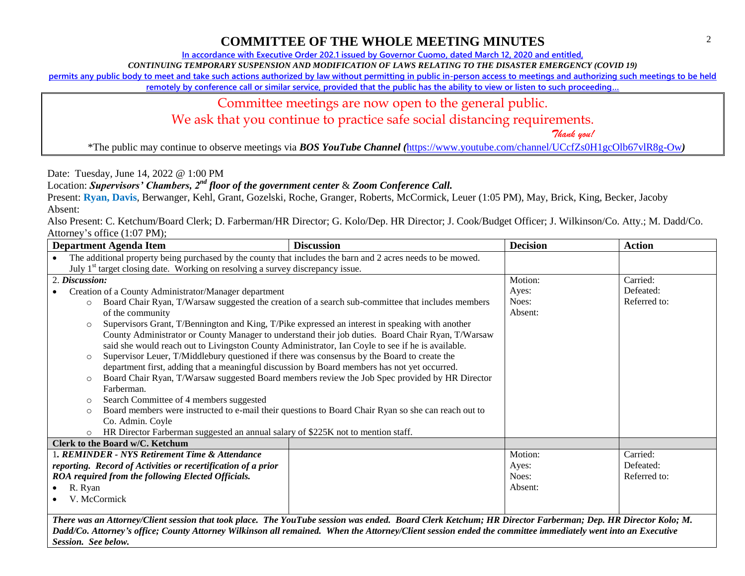## **COMMITTEE OF THE WHOLE MEETING MINUTES**

**In accordance with Executive Order 202.1 issued by Governor Cuomo, dated March 12, 2020 and entitled,**

*CONTINUING TEMPORARY SUSPENSION AND MODIFICATION OF LAWS RELATING TO THE DISASTER EMERGENCY (COVID 19)*

**permits any public body to meet and take such actions authorized by law without permitting in public in-person access to meetings and authorizing such meetings to be held** 

**remotely by conference call or similar service, provided that the public has the ability to view or listen to such proceeding…**

## Committee meetings are now open to the general public.

We ask that you continue to practice safe social distancing requirements.

 *Thank you!*

\*The public may continue to observe meetings via *BOS YouTube Channel (*<https://www.youtube.com/channel/UCcfZs0H1gcOlb67vlR8g-Ow>*)*

Date: Tuesday, June 14, 2022 @ 1:00 PM

Location: *Supervisors' Chambers, 2nd floor of the government center* & *Zoom Conference Call.*

Present: **Ryan, Davis**, Berwanger, Kehl, Grant, Gozelski, Roche, Granger, Roberts, McCormick, Leuer (1:05 PM), May, Brick, King, Becker, Jacoby Absent:

Also Present: C. Ketchum/Board Clerk; D. Farberman/HR Director; G. Kolo/Dep. HR Director; J. Cook/Budget Officer; J. Wilkinson/Co. Atty.; M. Dadd/Co. Attorney's office (1:07 PM);

| <b>Department Agenda Item</b>                                                                                                                               | <b>Discussion</b> | <b>Decision</b> | <b>Action</b> |  |
|-------------------------------------------------------------------------------------------------------------------------------------------------------------|-------------------|-----------------|---------------|--|
| The additional property being purchased by the county that includes the barn and 2 acres needs to be mowed.                                                 |                   |                 |               |  |
| July 1 <sup>st</sup> target closing date. Working on resolving a survey discrepancy issue.                                                                  |                   |                 |               |  |
| 2. Discussion:                                                                                                                                              |                   | Motion:         | Carried:      |  |
| Creation of a County Administrator/Manager department                                                                                                       |                   | Ayes:           | Defeated:     |  |
| Board Chair Ryan, T/Warsaw suggested the creation of a search sub-committee that includes members<br>$\circ$                                                |                   | Noes:           | Referred to:  |  |
| of the community                                                                                                                                            |                   | Absent:         |               |  |
| Supervisors Grant, T/Bennington and King, T/Pike expressed an interest in speaking with another<br>$\circ$                                                  |                   |                 |               |  |
| County Administrator or County Manager to understand their job duties. Board Chair Ryan, T/Warsaw                                                           |                   |                 |               |  |
| said she would reach out to Livingston County Administrator, Ian Coyle to see if he is available.                                                           |                   |                 |               |  |
| Supervisor Leuer, T/Middlebury questioned if there was consensus by the Board to create the<br>$\circ$                                                      |                   |                 |               |  |
| department first, adding that a meaningful discussion by Board members has not yet occurred.                                                                |                   |                 |               |  |
| Board Chair Ryan, T/Warsaw suggested Board members review the Job Spec provided by HR Director<br>$\circ$                                                   |                   |                 |               |  |
| Farberman.                                                                                                                                                  |                   |                 |               |  |
| Search Committee of 4 members suggested<br>$\circ$                                                                                                          |                   |                 |               |  |
| Board members were instructed to e-mail their questions to Board Chair Ryan so she can reach out to<br>$\circ$                                              |                   |                 |               |  |
| Co. Admin. Coyle                                                                                                                                            |                   |                 |               |  |
| HR Director Farberman suggested an annual salary of \$225K not to mention staff.<br>$\circ$                                                                 |                   |                 |               |  |
| Clerk to the Board w/C. Ketchum                                                                                                                             |                   |                 |               |  |
| 1. REMINDER - NYS Retirement Time & Attendance                                                                                                              |                   | Motion:         | Carried:      |  |
| reporting. Record of Activities or recertification of a prior                                                                                               |                   | Ayes:           | Defeated:     |  |
| ROA required from the following Elected Officials.                                                                                                          |                   | Noes:           | Referred to:  |  |
| R. Ryan<br>$\bullet$                                                                                                                                        |                   | Absent:         |               |  |
| V. McCormick                                                                                                                                                |                   |                 |               |  |
|                                                                                                                                                             |                   |                 |               |  |
| There was an Attorney/Client session that took place. The YouTube session was ended. Board Clerk Ketchum; HR Director Farberman; Dep. HR Director Kolo; M.  |                   |                 |               |  |
| Dadd/Co. Attorney's office; County Attorney Wilkinson all remained. When the Attorney/Client session ended the committee immediately went into an Executive |                   |                 |               |  |

*Session. See below.*